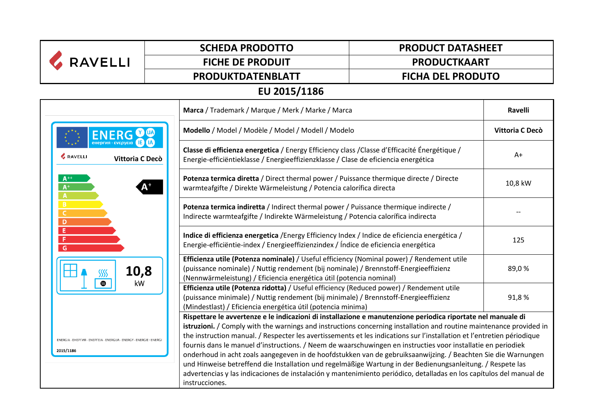| <b>RAVELLI</b>                                                                   | <b>SCHEDA PRODOTTO</b>                                                                                                                                                                                                                                                                                                                                                                                                                                                                                                                                                                                                                                                                                                                                                                                                                                | <b>PRODUCT DATASHEET</b>                                                                                                                                                                                                                                 |  |  |  |
|----------------------------------------------------------------------------------|-------------------------------------------------------------------------------------------------------------------------------------------------------------------------------------------------------------------------------------------------------------------------------------------------------------------------------------------------------------------------------------------------------------------------------------------------------------------------------------------------------------------------------------------------------------------------------------------------------------------------------------------------------------------------------------------------------------------------------------------------------------------------------------------------------------------------------------------------------|----------------------------------------------------------------------------------------------------------------------------------------------------------------------------------------------------------------------------------------------------------|--|--|--|
|                                                                                  | <b>FICHE DE PRODUIT</b>                                                                                                                                                                                                                                                                                                                                                                                                                                                                                                                                                                                                                                                                                                                                                                                                                               | <b>PRODUCTKAART</b>                                                                                                                                                                                                                                      |  |  |  |
|                                                                                  | PRODUKTDATENBLATT                                                                                                                                                                                                                                                                                                                                                                                                                                                                                                                                                                                                                                                                                                                                                                                                                                     | <b>FICHA DEL PRODUTO</b>                                                                                                                                                                                                                                 |  |  |  |
| EU 2015/1186                                                                     |                                                                                                                                                                                                                                                                                                                                                                                                                                                                                                                                                                                                                                                                                                                                                                                                                                                       |                                                                                                                                                                                                                                                          |  |  |  |
|                                                                                  |                                                                                                                                                                                                                                                                                                                                                                                                                                                                                                                                                                                                                                                                                                                                                                                                                                                       | Marca / Trademark / Marque / Merk / Marke / Marca                                                                                                                                                                                                        |  |  |  |
|                                                                                  |                                                                                                                                                                                                                                                                                                                                                                                                                                                                                                                                                                                                                                                                                                                                                                                                                                                       | Modello / Model / Modèle / Model / Modell / Modelo                                                                                                                                                                                                       |  |  |  |
| <b>&amp; RAVELLI</b><br>Vittoria C Decò                                          |                                                                                                                                                                                                                                                                                                                                                                                                                                                                                                                                                                                                                                                                                                                                                                                                                                                       | Classe di efficienza energetica / Energy Efficiency class / Classe d'Efficacité Énergétique /<br>Energie-efficiëntieklasse / Energieeffizienzklasse / Clase de eficiencia energética                                                                     |  |  |  |
| $A^+$<br>$A^+$<br>A                                                              |                                                                                                                                                                                                                                                                                                                                                                                                                                                                                                                                                                                                                                                                                                                                                                                                                                                       | Potenza termica diretta / Direct thermal power / Puissance thermique directe / Directe<br>warmteafgifte / Direkte Wärmeleistung / Potencia calorífica directa                                                                                            |  |  |  |
| B<br>$\mathsf{C}$<br>D                                                           |                                                                                                                                                                                                                                                                                                                                                                                                                                                                                                                                                                                                                                                                                                                                                                                                                                                       | Potenza termica indiretta / Indirect thermal power / Puissance thermique indirecte /<br>Indirecte warmteafgifte / Indirekte Wärmeleistung / Potencia calorífica indirecta                                                                                |  |  |  |
| Έ<br>F<br>G<br>10,8<br>kW<br>▧                                                   |                                                                                                                                                                                                                                                                                                                                                                                                                                                                                                                                                                                                                                                                                                                                                                                                                                                       | Indice di efficienza energetica / Energy Efficiency Index / Indice de eficiencia energética /<br>Energie-efficiëntie-index / Energieeffizienzindex / Índice de eficiencia energética                                                                     |  |  |  |
|                                                                                  |                                                                                                                                                                                                                                                                                                                                                                                                                                                                                                                                                                                                                                                                                                                                                                                                                                                       | Efficienza utile (Potenza nominale) / Useful efficiency (Nominal power) / Rendement utile<br>(puissance nominale) / Nuttig rendement (bij nominale) / Brennstoff-Energieeffizienz<br>(Nennwärmeleistung) / Eficiencia energética útil (potencia nominal) |  |  |  |
|                                                                                  |                                                                                                                                                                                                                                                                                                                                                                                                                                                                                                                                                                                                                                                                                                                                                                                                                                                       | Efficienza utile (Potenza ridotta) / Useful efficiency (Reduced power) / Rendement utile<br>(puissance minimale) / Nuttig rendement (bij minimale) / Brennstoff-Energieeffizienz<br>(Mindestlast) / Eficiencia energética útil (potencia minima)         |  |  |  |
| ENERGIA · EHEPFIA · ENEPFEIA · ENERGIJA · ENERGY · ENERGIE · ENERGI<br>2015/1186 | Rispettare le avvertenze e le indicazioni di installazione e manutenzione periodica riportate nel manuale di<br>istruzioni. / Comply with the warnings and instructions concerning installation and routine maintenance provided in<br>the instruction manual. / Respecter les avertissements et les indications sur l'installation et l'entretien périodique<br>fournis dans le manuel d'instructions. / Neem de waarschuwingen en instructies voor installatie en periodiek<br>onderhoud in acht zoals aangegeven in de hoofdstukken van de gebruiksaanwijzing. / Beachten Sie die Warnungen<br>und Hinweise betreffend die Installation und regelmäßige Wartung in der Bedienungsanleitung. / Respete las<br>advertencias y las indicaciones de instalación y mantenimiento periódico, detalladas en los capítulos del manual de<br>instrucciones. |                                                                                                                                                                                                                                                          |  |  |  |